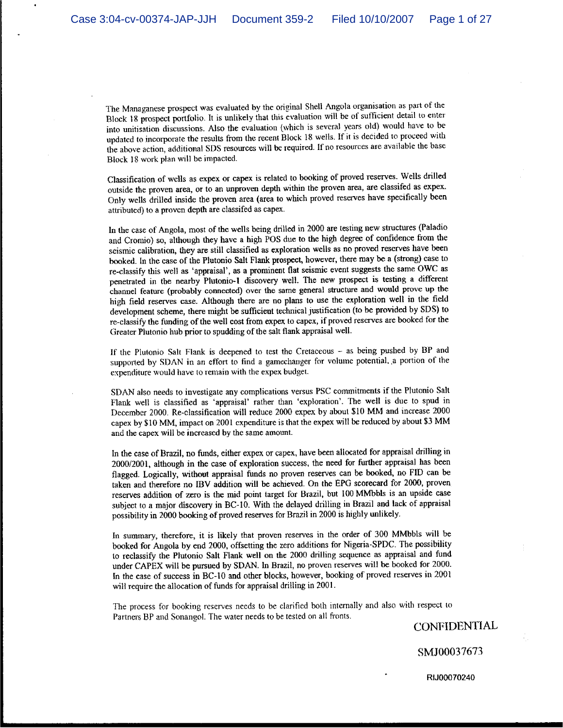The Managanese prospect was evaluated by the original Shell Angola organisation as part of the Block 18 prospect portfolio. It is unlikely that this evaluation will be of sufficient detail to enter into unitisation discussions. Also the evaluation (which is several years old) would have to be updated to incorporate the results from the recent Block 18 wells. If it is decided to proceed with the above action, additional SDS resources will be required. If no resources are available the base Block 18 work plan will be impacted.

Classification of wells as expex or capex is related to booking of proved reserves. Wells drilled outside the proven area, or to an unproven depth within the proven area, are classifed as expex. Only wells drilled inside the proven area (area to which proved reserves have specifically been attributed) to a proven depth are classifed as capex.

In the case of Angola, most of the wells being drilled in 2000 are testing new structures (Paladio and Cromio) so, although they have a high POS due to the high degree of confidence from the seismic calibration, they are still classified as exploration wells as no proved reserves have been booked. In the case of the Plutonio Salt Flank prospect, however, there may be a (strong) case to re-classify this well as 'appraisal', as a prominent flat seismic event suggests the same OWC as penetrated in the nearby Plutonio-1 discovery well. The new prospect is testing a different channel feature (probably connected) over the same general structure and would prove up the high field reserves case. Although there are no plans to use the exploration well in the field development scheme, there might be sufficient technical justification (to be provided by SDS) to re-classify the funding of the well cost from expex to capex, if proved reserves are booked for the Greater Plutonio hub prior to spudding of the salt flank appraisal well.

If the Plutonio Salt Flank is deepened to test the Cretaceous - as being pushed by BP and supported by SDAN in an effort to find a gamechanger for volume potential, a portion of the expenditure would have to remain with the expex budget.

SDAN also needs to investigate any complications versus PSC commitments if the Plutonio Salt Flank well is classified as 'appraisal' rather than 'exploration'. The well is due to spud in December 2000. Re-classification will reduce 2000 expex by about \$10 MM and increase 2000 capex by \$10 MM, impact on 2001 expenditure is that the expex will be reduced by about \$3 MM and the capex will be increased by the same amount.

In the case of Brazil, no funds, either expex or capex, have been allocated for appraisal drilling in 2000/2001, although in the case of exploration success, the need for further appraisal has been flagged. Logically, without appraisal funds no proven reserves can be booked, no FID can be taken and therefore no IBV addition will be achieved. On the EPG scorecard for 2000, proven reserves addition of zero is the mid point target for Brazil, but 100 MMbbls is an upside case subject to a major discovery in BC-10. With the delayed drilling in Brazil and lack of appraisal possibility in 2000 booking of proved reserves for Brazil in 2000 is highly unlikely.

In summary, therefore, it is likely that proven reserves in the order of 300 MMbbls will be booked for Angola by end 2000, offsetting the zero additions for Nigeria-SPDC. The possibility to reclassify the Plutonio Salt Flank well on the 2000 drilling sequence as appraisal and fund under CAPEX will be pursued by SDAN. In Brazil, no proven reserves will be booked for 2000. In the case of success in BC-10 and other blocks, however, booking of proved reserves in 2001 will require the allocation of funds for appraisal drilling in 2001.

The process for booking reserves needs to be clarified both internally and also with respect to Partners BP and Sonangol. The water needs to be tested on all fronts.

**CONFIDENTIAL** 

SMJ00037673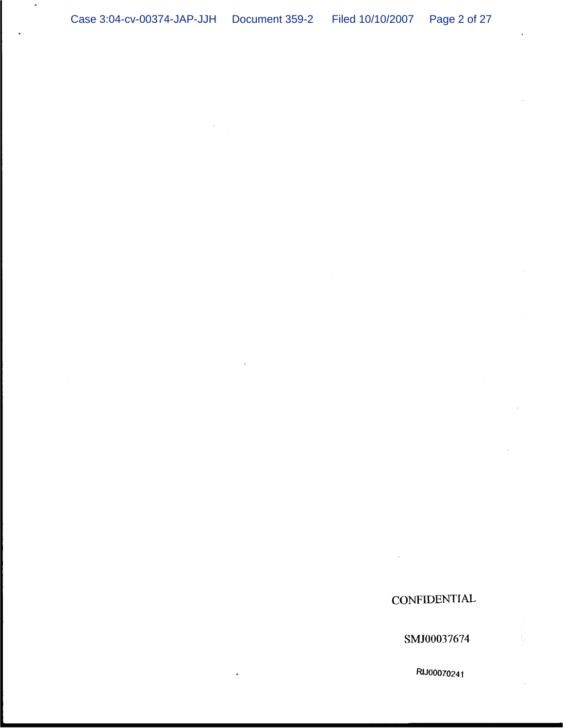# **CONFIDENTIAL**

SMJ00037674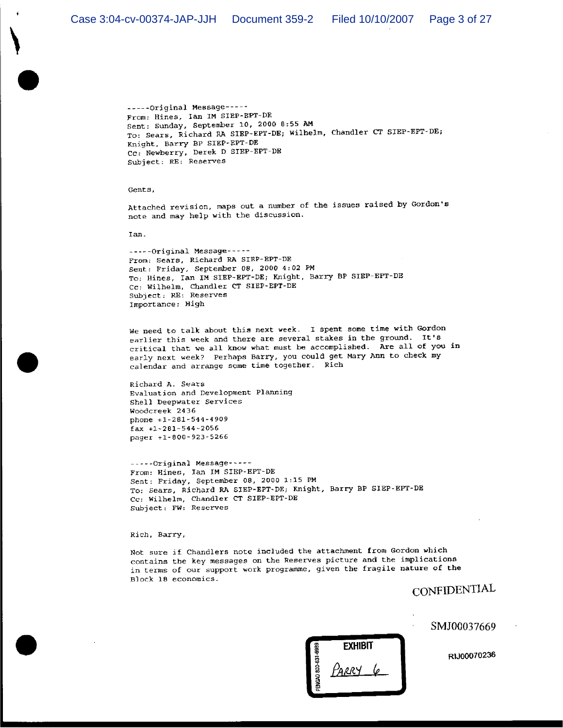-----Original Message-----From: Hines, Ian IM SIEP-BPT-DE Sent: Sunday, September 10, 2000 8:55 AM To: Sears, Richard RA SIEP-EPT-DE; Wilhelm, Chandler CT SIEP-EPT-DE; Knight, Barry BP SIEP-EPT-DE Cc: Newberry, Derek D SIEP-EPT-DE Subject: RE: Reserves

Gents,

Attached revision, maps out a number of the issues raised by Gordon's note and may help with the discussion.

Ian.

-----Original Message-----From: Sears, Richard RA SIEP-EPT-DE Sent: Friday, September 08, 2000 4:02 PM To: Hines, Ian IM SIEP-EPT-DE; Knight, Barry BP SIEP-EPT-DE Cc: Wilhelm, Chandler CT SIEP-EPT-DE Subject: RE: Reserves Importance: High

We need to talk about this next week. I spent some time with Gordon earlier this week and there are several stakes in the ground. It's critical that we all know what must be accomplished. Are all of you in early next week? Perhaps Barry, you could get Mary Ann to check my calendar and arrange some time together. Rich

Richard A. Sears Evaluation and Development Planning Shell Deepwater Services Woodcreek 2436 phone +1-281-544-4909  $fax +1-281-544-2056$ pager +1-800-923-5266

-----Original Message-----From: Hines, Ian IM SIEP-EPT-DE Sent: Friday, September 08, 2000 1:15 PM To: Sears, Richard RA SIEP-EPT-DE; Knight, Barry BP SIEP-EPT-DE Cc: Wilhelm, Chandler CT SIEP-EPT-DE Subject: FW: Reserves

Rich, Barry,

Not sure if Chandlers note included the attachment from Gordon which contains the key messages on the Reserves picture and the implications in terms of our support work programme, given the fragile nature of the Block 18 economics.

CONFIDENTIAL

**EXHIBIT** IGAD 800-631-69 ክደRY

SMJ00037669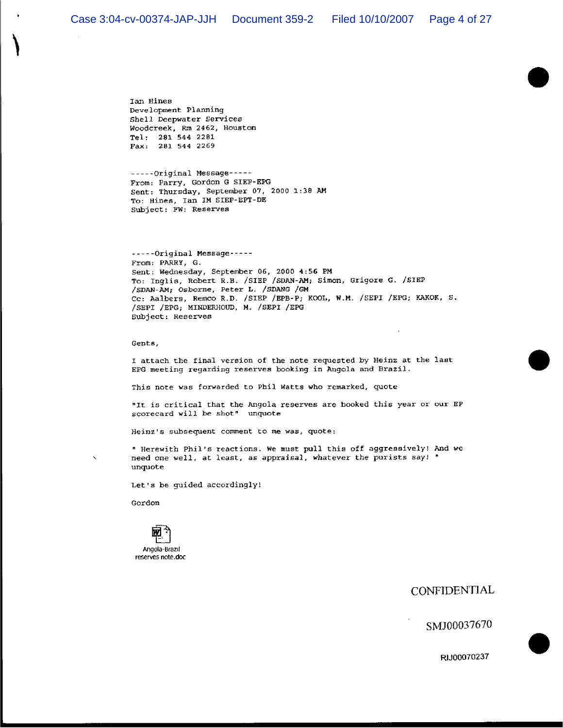Ian Hines Development Planning Shell Deepwater Services Woodcreek, Rm 2462, Houston Tel: 281 544 2281 Fax: 281 544 2269

-----Original Message-----From: Parry, Gordon G SIEP-EPG Sent: Thursday, September 07, 2000 1:38 AM To: Hines, Ian IM SIEP-EPT-DE Subject: FW: Reserves

-----Original Message -----From: PARRY, G. Sent: Wednesday, September 06, 2000 4:56 PM To: Inglis, Robert R.B. /SIEP /SDAN-AM; Simon, Grigore G. /SIEP /SDAN-AM; Osborne, Peter L. /SDANG /GM Cc: Aalbers, Remco R.D. /SIEP /EPB-P; KOOL, W.M. /SEPI /EPG; KAKOK, S. /SEPI / EPG; MINDERHOUD, M. / SEPI / EPG Subject: Reserves

Gents,

I attach the final version of the note requested by Heinz at the last EPG meeting regarding reserves booking in Angola and Brazil.

This note was forwarded to Phil Watts who remarked, quote

"It is critical that the Angola reserves are booked this year or our EP scorecard will be shot" unquote

Heinz's subsequent comment to me was, quote:

" Herewith Phil's reactions. We must pull this off aggressively! And we need one well, at least, as appraisal, whatever the purists say! " unquote

Let's be guided accordingly!

Gordon

 $\overline{\phantom{a}}$ 



CONFIDENTIAL

SMJ00037670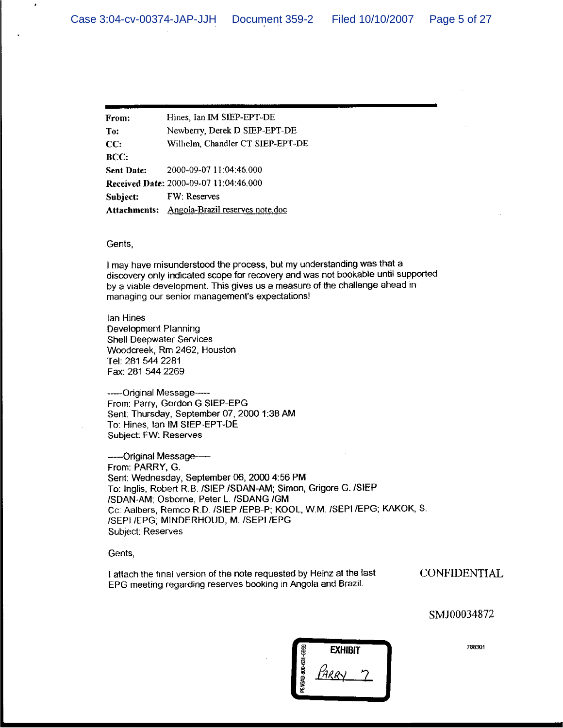| From:             | Hines, Ian IM SIEP-EPT-DE                    |
|-------------------|----------------------------------------------|
| To:               | Newberry, Derek D SIEP-EPT-DE                |
| CC:               | Wilhelm, Chandler CT SIEP-EPT-DE             |
| BCC:              |                                              |
| <b>Sent Date:</b> | 2000-09-07 11:04:46.000                      |
|                   | Received Date: 2000-09-07 11:04:46.000       |
| Subject:          | <b>FW: Reserves</b>                          |
|                   | Attachments: Angola-Brazil reserves note doc |

#### Gents,

I may have misunderstood the process, but my understanding was that a discovery only indicated scope for recovery and was not bookable until supported by a viable development. This gives us a measure of the challenge ahead in managing our senior management's expectations!

lan Hines Development Planning **Shell Deepwater Services** Woodcreek, Rm 2462, Houston Tel: 281 544 2281 Fax: 281 544 2269

----- Original Message-From: Parry, Gordon G SIEP-EPG Sent: Thursday, September 07, 2000 1:38 AM To: Hines, Ian IM SIEP-EPT-DE Subject: FW: Reserves

-----Original Message-----From: PARRY, G. Sent: Wednesday, September 06, 2000 4:56 PM To: Inglis, Robert R.B. /SIEP /SDAN-AM; Simon, Grigore G. /SIEP /SDAN-AM; Osborne, Peter L. /SDANG /GM Cc: Aalbers, Remco R.D. /SIEP /EPB-P; KOOL, W.M. /SEPI /EPG; KAKOK, S. /SEPI /EPG; MINDERHOUD, M. /SEPI /EPG Subject: Reserves

Gents,

I attach the final version of the note requested by Heinz at the last EPG meeting regarding reserves booking in Angola and Brazil.

**CONFIDENTIAL** 

SMJ00034872

**EXHIBIT** NGAD 800-631-59 ARRY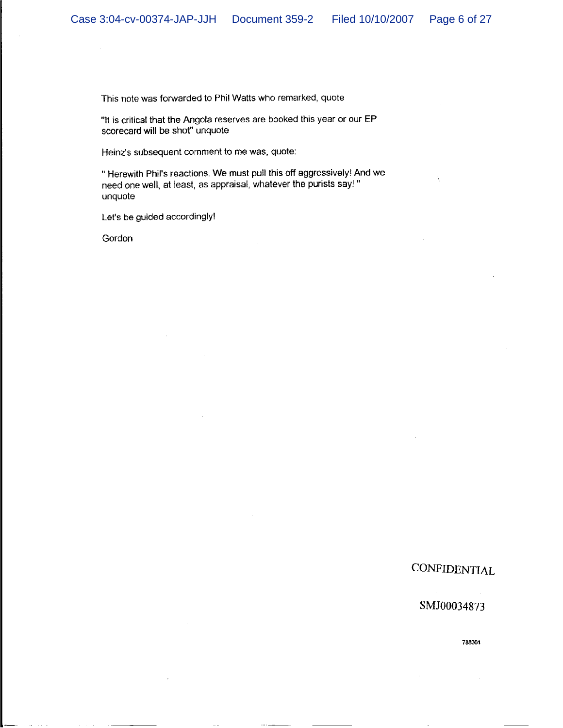This note was forwarded to Phil Watts who remarked, quote

"It is critical that the Angola reserves are booked this year or our EP scorecard will be shot" unquote

Heinz's subsequent comment to me was, quote:

" Herewith Phil's reactions. We must pull this off aggressively! And we need one well, at least, as appraisal, whatever the purists say!" unquote

Let's be guided accordingly!

Gordon

# **CONFIDENTIAL**

#### SMJ00034873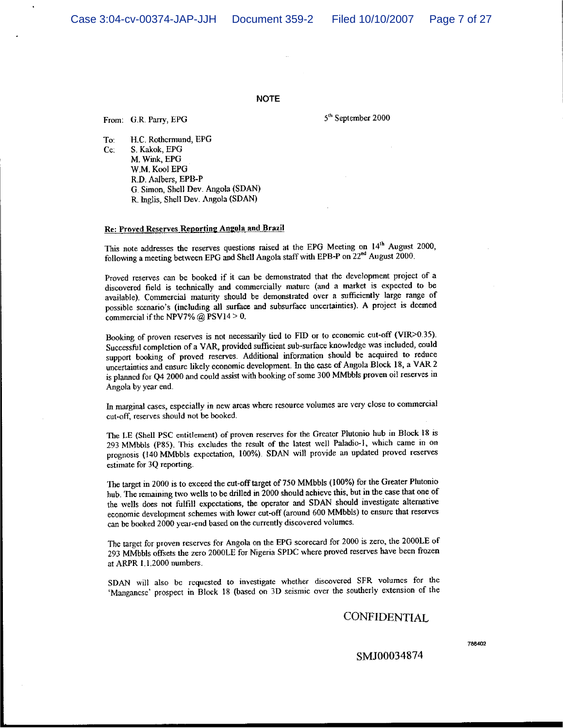Case 3:04-cv-00374-JAP-JJH

#### **NOTE**

From: G.R. Parry, EPG

5<sup>th</sup> September 2000

To: H.C. Rothermund, EPG  $Cc$ : S. Kakok, EPG M. Wink, EPG W.M. Kool EPG R.D. Aalbers, EPB-P G. Simon, Shell Dev. Angola (SDAN) R. Inglis, Shell Dev. Angola (SDAN)

#### Re: Proved Reserves Reporting Angola and Brazil

This note addresses the reserves questions raised at the EPG Meeting on 14<sup>th</sup> August 2000, following a meeting between EPG and Shell Angola staff with EPB-P on 22<sup>nd</sup> August 2000.

Proved reserves can be booked if it can be demonstrated that the development project of a discovered field is technically and commercially mature (and a market is expected to be available). Commercial maturity should be demonstrated over a sufficiently large range of possible scenario's (including all surface and subsurface uncertainties). A project is deemed commercial if the NPV7%  $@$  PSV14 > 0.

Booking of proven reserves is not necessarily tied to FID or to economic cut-off (VIR>0.35). Successful completion of a VAR, provided sufficient sub-surface knowledge was included, could support booking of proved reserves. Additional information should be acquired to reduce uncertainties and ensure likely economic development. In the case of Angola Block 18, a VAR 2 is planned for Q4 2000 and could assist with booking of some 300 MMbbls proven oil reserves in Angola by year end.

In marginal cases, especially in new areas where resource volumes are very close to commercial cut-off, reserves should not be booked.

The LE (Shell PSC entitlement) of proven reserves for the Greater Plutonio hub in Block 18 is 293 MMbbls (P85). This excludes the result of the latest well Paladio-1, which came in on prognosis (140 MMbbls expectation, 100%). SDAN will provide an updated proved reserves estimate for 3Q reporting.

The target in 2000 is to exceed the cut-off target of 750 MMbbls (100%) for the Greater Plutonio hub. The remaining two wells to be drilled in 2000 should achieve this, but in the case that one of the wells does not fulfill expectations, the operator and SDAN should investigate alternative economic development schemes with lower cut-off (around 600 MMbbls) to ensure that reserves can be booked 2000 year-end based on the currently discovered volumes.

The target for proven reserves for Angola on the EPG scorecard for 2000 is zero, the 2000LE of 293 MMbbls offsets the zero 2000LE for Nigeria SPDC where proved reserves have been frozen at ARPR 1.1.2000 numbers.

SDAN will also be requested to investigate whether discovered SFR volumes for the 'Mangancse' prospect in Block 18 (based on 3D seismic over the southerly extension of the

## CONFIDENTIAL

788402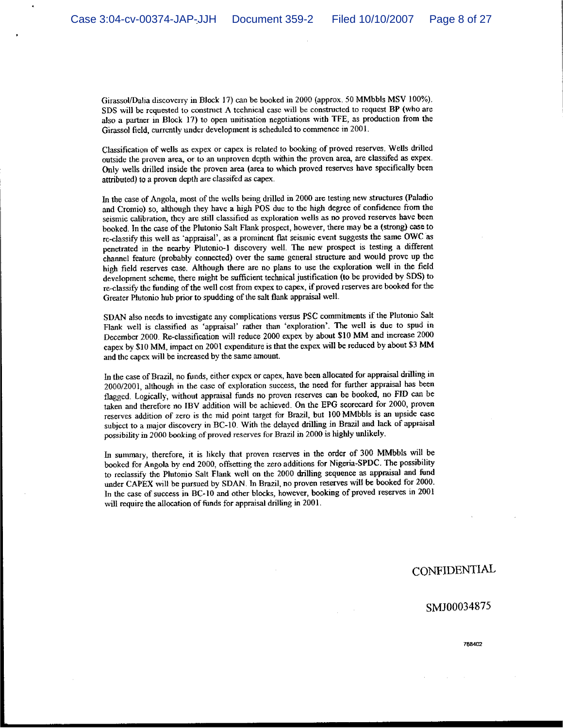Girassol/Dalia discoverry in Block 17) can be booked in 2000 (approx. 50 MMbbls MSV 100%). SDS will be requested to construct A technical case will be constructed to request BP (who are also a partner in Block 17) to open unitisation negotiations with TFE, as production from the Girassol field, currently under development is scheduled to commence in 2001.

Classification of wells as expex or capex is related to booking of proved reserves. Wells drilled outside the proven area, or to an unproven depth within the proven area, are classifed as expex. Only wells drilled inside the proven area (area to which proved reserves have specifically been attributed) to a proven depth are classifed as capex.

In the case of Angola, most of the wells being drilled in 2000 are testing new structures (Paladio and Cromio) so, although they have a high POS due to the high degree of confidence from the seismic calibration, they are still classified as exploration wells as no proved reserves have been booked. In the case of the Plutonio Salt Flank prospect, however, there may be a (strong) case to rc-classify this well as 'appraisal', as a prominent flat seismic event suggests the same OWC as penetrated in the nearby Plutonio-1 discovery well. The new prospect is testing a different channel feature (probably connected) over the same general structure and would prove up the high field reserves case. Although there are no plans to use the exploration well in the field development scheme, there might be sufficient technical justification (to be provided by SDS) to re-classify the funding of the well cost from expex to capex, if proved reserves are booked for the Greater Plutonio hub prior to spudding of the salt flank appraisal well.

SDAN also needs to investigate any complications versus PSC commitments if the Plutonio Salt Flank well is classified as 'appraisal' rather than 'exploration'. The well is due to spud in December 2000. Re-classification will reduce 2000 expex by about \$10 MM and increase 2000 capex by \$10 MM, impact on 2001 expenditure is that the expex will be reduced by about \$3 MM and the capex will be increased by the same amount.

In the case of Brazil, no funds, either expex or capex, have been allocated for appraisal drilling in 2000/2001, although in the case of exploration success, the need for further appraisal has been flagged. Logically, without appraisal funds no proven reserves can be booked, no FID can be taken and therefore no IBV addition will be achieved. On the EPG scorecard for 2000, proven reserves addition of zero is the mid point target for Brazil, but 100 MMbbls is an upside case subject to a major discovery in BC-10. With the delayed drilling in Brazil and lack of appraisal possibility in 2000 booking of proved reserves for Brazil in 2000 is highly unlikely.

In summary, therefore, it is likely that proven reserves in the order of 300 MMbbls will be booked for Angola by end 2000, offsetting the zero additions for Nigeria-SPDC. The possibility to reclassify the Plutonio Salt Flank well on the 2000 drilling sequence as appraisal and fund under CAPEX will be pursued by SDAN. In Brazil, no proven reserves will be booked for 2000. In the case of success in BC-10 and other blocks, however, booking of proved reserves in 2001 will require the allocation of funds for appraisal drilling in 2001.

## CONFIDENTIAL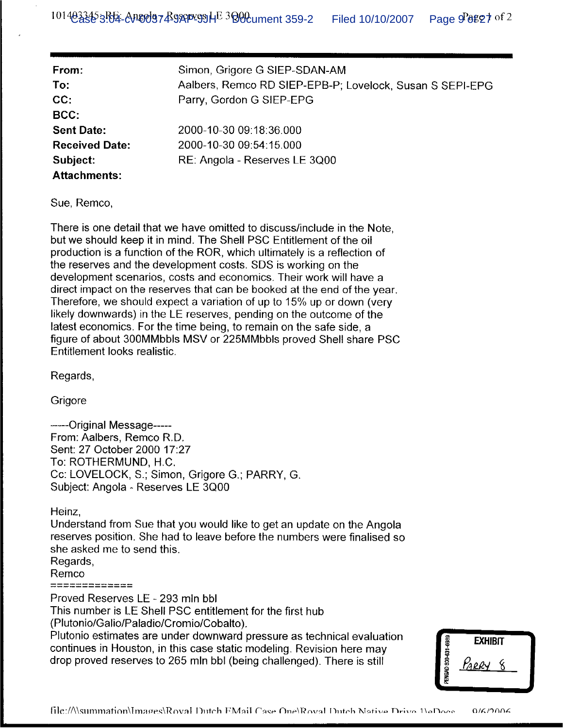| From:                 | Simon, Grigore G SIEP-SDAN-AM                            |
|-----------------------|----------------------------------------------------------|
| To:                   | Aalbers, Remco RD SIEP-EPB-P; Lovelock, Susan S SEPI-EPG |
| CC:                   | Parry, Gordon G SIEP-EPG                                 |
| BCC:                  |                                                          |
| <b>Sent Date:</b>     | 2000-10-30 09:18:36.000                                  |
| <b>Received Date:</b> | 2000-10-30 09:54:15.000                                  |
| Subject:              | RE: Angola - Reserves LE 3Q00                            |
| <b>Attachments:</b>   |                                                          |

Sue, Remco,

There is one detail that we have omitted to discuss/include in the Note, but we should keep it in mind. The Shell PSC Entitlement of the oil production is a function of the ROR, which ultimately is a reflection of the reserves and the development costs. SDS is working on the development scenarios, costs and economics. Their work will have a direct impact on the reserves that can be booked at the end of the year. Therefore, we should expect a variation of up to 15% up or down (very likely downwards) in the LE reserves, pending on the outcome of the latest economics. For the time being, to remain on the safe side, a figure of about 300MMbbls MSV or 225MMbbls proved Shell share PSC Entitlement looks realistic.

Regards,

Grigore

------Original Message-----From: Aalbers, Remco R.D. Sent: 27 October 2000 17:27 To: ROTHERMUND, H.C. Cc: LOVELOCK, S.; Simon, Grigore G.; PARRY, G. Subject: Angola - Reserves LE 3Q00

Heinz,

Understand from Sue that you would like to get an update on the Angola reserves position. She had to leave before the numbers were finalised so she asked me to send this.

Regards, Remco

=============

Proved Reserves LE - 293 mln bbl

This number is LE Shell PSC entitlement for the first hub

(Plutonio/Galio/Paladio/Cromio/Cobalto).

Plutonio estimates are under downward pressure as technical evaluation continues in Houston, in this case static modeling. Revision here may drop proved reserves to 265 mln bbl (being challenged). There is still

|                     | <b>EXHIBIT</b> |  |
|---------------------|----------------|--|
| PENGAD 800-631-6989 | <u> Karry</u>  |  |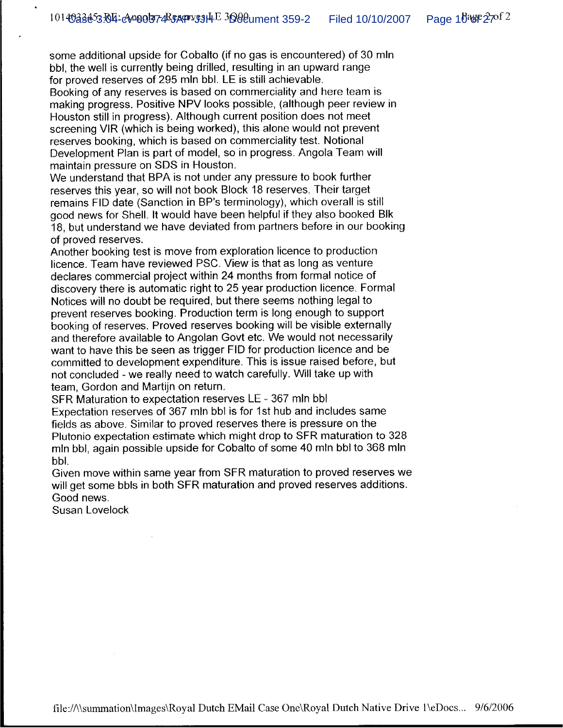some additional upside for Cobalto (if no gas is encountered) of 30 mln bbl, the well is currently being drilled, resulting in an upward range for proved reserves of 295 mln bbl. LE is still achievable.

Booking of any reserves is based on commerciality and here team is making progress. Positive NPV looks possible, (although peer review in Houston still in progress). Although current position does not meet screening VIR (which is being worked), this alone would not prevent reserves booking, which is based on commerciality test. Notional Development Plan is part of model, so in progress. Angola Team will maintain pressure on SDS in Houston.

We understand that BPA is not under any pressure to book further reserves this year, so will not book Block 18 reserves. Their target remains FID date (Sanction in BP's terminology), which overall is still good news for Shell. It would have been helpful if they also booked Blk 18, but understand we have deviated from partners before in our booking of proved reserves.

Another booking test is move from exploration licence to production licence. Team have reviewed PSC. View is that as long as venture declares commercial project within 24 months from formal notice of discovery there is automatic right to 25 year production licence. Formal Notices will no doubt be required, but there seems nothing legal to prevent reserves booking. Production term is long enough to support booking of reserves. Proved reserves booking will be visible externally and therefore available to Angolan Govt etc. We would not necessarily want to have this be seen as trigger FID for production licence and be committed to development expenditure. This is issue raised before, but not concluded - we really need to watch carefully. Will take up with team. Gordon and Martijn on return.

SFR Maturation to expectation reserves LE - 367 mln bbl Expectation reserves of 367 mln bbl is for 1st hub and includes same fields as above. Similar to proved reserves there is pressure on the Plutonio expectation estimate which might drop to SFR maturation to 328 min bbl, again possible upside for Cobalto of some 40 min bbl to 368 min bbl.

Given move within same year from SFR maturation to proved reserves we will get some bbls in both SFR maturation and proved reserves additions. Good news.

Susan Lovelock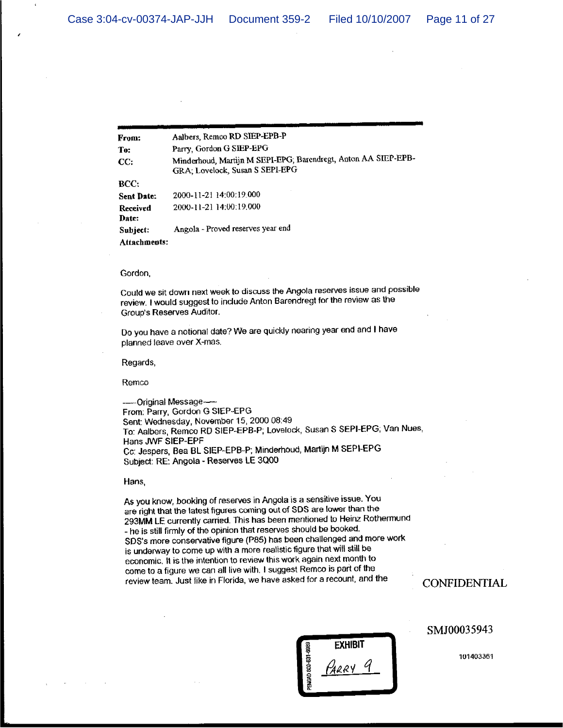.

| From:             | Aalbers, Remco RD SIEP-EPB-P                                                                      |
|-------------------|---------------------------------------------------------------------------------------------------|
| To:               | Parry, Gordon G SIEP-EPG                                                                          |
| CC:               | Minderhoud, Martijn M SEPI-EPG; Barendregt, Anton AA SIEP-EPB-<br>GRA; Lovelock, Susan S SEPI-EPG |
| BCC:              |                                                                                                   |
| Sent Date:        | 2000-11-21 14:00:19:000                                                                           |
| Received<br>Date: | 2000-11-21 14:00:19:000                                                                           |
| Subject:          | Angola - Proved reserves year end                                                                 |
| Attachments:      |                                                                                                   |

#### Gordon,

Could we sit down next week to discuss the Angola reserves issue and possible review. I would suggest to include Anton Barendregt for the review as the Group's Reserves Auditor.

Do you have a notional date? We are quickly nearing year end and I have planned leave over X-mas.

Regards,

Remco

---Original Message-From: Parry, Gordon G SIEP-EPG Sent: Wednesday, November 15, 2000 08:49 To: Aalbers, Remco RD SIEP-EPB-P; Lovelock, Susan S SEPI-EPG, Van Nues, Hans JWF SIEP-EPF Cc: Jespers, Bea BL SIEP-EPB-P; Minderhoud, Martijn M SEPI-EPG Subject: RE: Angola - Reserves LE 3000

Hans,

As you know, booking of reserves in Angola is a sensitive issue. You are right that the latest figures coming out of SDS are lower than the 293MM LE currently carried. This has been mentioned to Heinz Rothermund - he is still firmly of the opinion that reserves should be booked. SDS's more conservative figure (P85) has been challenged and more work is underway to come up with a more realistic figure that will still be economic. It is the intention to review this work again next month to come to a figure we can all live with. I suggest Remco is part of the review team. Just like in Florida, we have asked for a recount, and the

**CONFIDENTIAL** 

SMJ00035943

**EXHIBIT** HARRY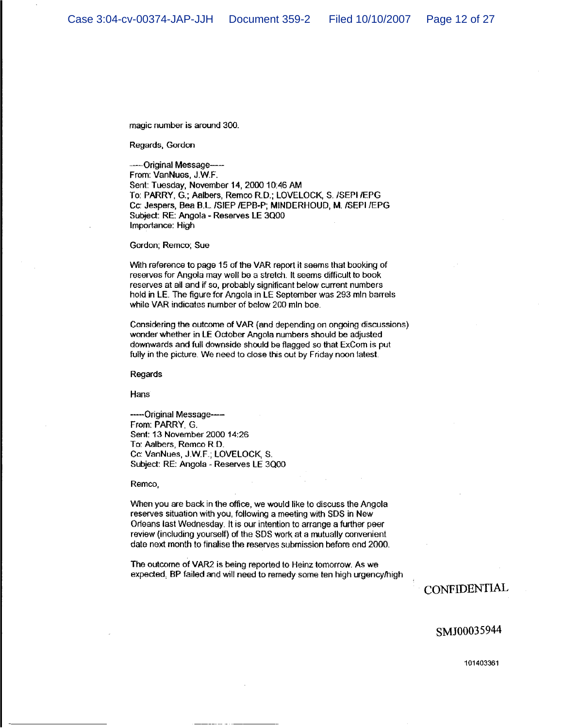magic number is around 300.

Regards, Gordon

----Original Message----From: VanNues, J.W.F. Sent: Tuesday, November 14, 2000 10:46 AM To: PARRY, G.; Aalbers, Remco R.D.; LOVELOCK, S. /SEPI/EPG Cc: Jespers, Bea B.L. /SIEP /EPB-P; MINDERHOUD, M. /SEPI /EPG Subject: RE: Angola - Reserves LE 3Q00 Importance: High

Gordon; Remco; Sue

With reference to page 15 of the VAR report it seems that booking of reserves for Angola may well be a stretch. It seems difficult to book reserves at all and if so, probably significant below current numbers hold in LE. The figure for Angola in LE September was 293 mln barrels while VAR indicates number of below 200 mln boe.

Considering the outcome of VAR (and depending on ongoing discussions) wonder whether in LE October Angola numbers should be adjusted downwards and full downside should be flagged so that ExCom is put fully in the picture. We need to close this out by Friday noon latest.

Regards

Hans

-----Original Message----From: PARRY G. Sent: 13 November 2000 14:26 To: Aalbers, Remco R.D. Co: VanNues, J.W.F.; LOVELOCK, S. Subject: RE: Angola - Reserves LE 3Q00

Remco,

When you are back in the office, we would like to discuss the Angola reserves situation with you, following a meeting with SDS in New Orleans last Wednesday. It is our intention to arrange a further peer review (including yourself) of the SDS work at a mutually convenient date next month to finalise the reserves submission before end 2000.

The outcome of VAR2 is being reported to Heinz tomorrow. As we expected. BP failed and will need to remedy some ten high urgency/high

**CONFIDENTIAL** 

SMJ00035944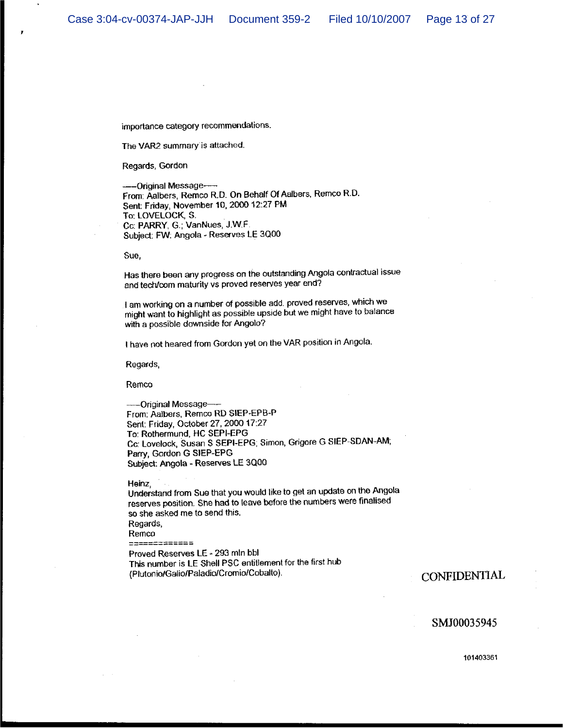importance category recommendations.

The VAR2 summary is attached.

Regards, Gordon

---Original Message-From: Aalbers, Remco R.D. On Behalf Of Aalbers, Remco R.D. Sent: Friday, November 10, 2000 12:27 PM To: LOVELOCK, S. Cc: PARRY, G.; VanNues, J.W.F. Subject: FW: Angola - Reserves LE 3000

Sue,

Has there been any progress on the outstanding Angola contractual issue and tech/com maturity vs proved reserves year end?

I am working on a number of possible add. proved reserves, which we might want to highlight as possible upside but we might have to balance with a possible downside for Angolo?

I have not heared from Gordon yet on the VAR position in Angola.

Regards,

Remco

----Original Message---From: Aalbers, Remco RD SIEP-EPB-P Sent: Friday, October 27, 2000 17:27 To: Rothermund, HC SEPI-EPG Cc: Lovelock, Susan S SEPI-EPG; Simon, Grigore G SIEP-SDAN-AM; Parry, Gordon G SIEP-EPG Subject: Angola - Reserves LE 3Q00

Heinz.

Understand from Sue that you would like to get an update on the Angola reserves position. She had to leave before the numbers were finalised so she asked me to send this. Regards, Remco  $\begin{tabular}{ll} \multicolumn{2}{l}{{\color{red}\hbox{}}}\end{tabular} \begin{tabular}{ll} \multicolumn{2}{l}{\color{blue}\hbox{}}\\ \multicolumn{2}{l}{\color{blue}\hbox{}}\\ \multicolumn{2}{l}{\color{blue}\hbox{}}\\ \multicolumn{2}{l}{\color{blue}\hbox{}}\\ \multicolumn{2}{l}{\color{blue}\hbox{}}\\ \multicolumn{2}{l}{\color{blue}\hbox{}}\\ \multicolumn{2}{l}{\color{blue}\hbox{}}\\ \multicolumn{2}{l}{\color{blue}\hbox{}}\\ \multicolumn{2}{l}{\color{blue}\hbox{}}\\ \multicolumn{2}{l$ Proved Reserves LE - 293 mln bbl This number is LE Shell PSC entitlement for the first hub

(Plutonio/Galio/Paladio/Cromio/Cobalto).

**CONFIDENTIAL** 

#### SMJ00035945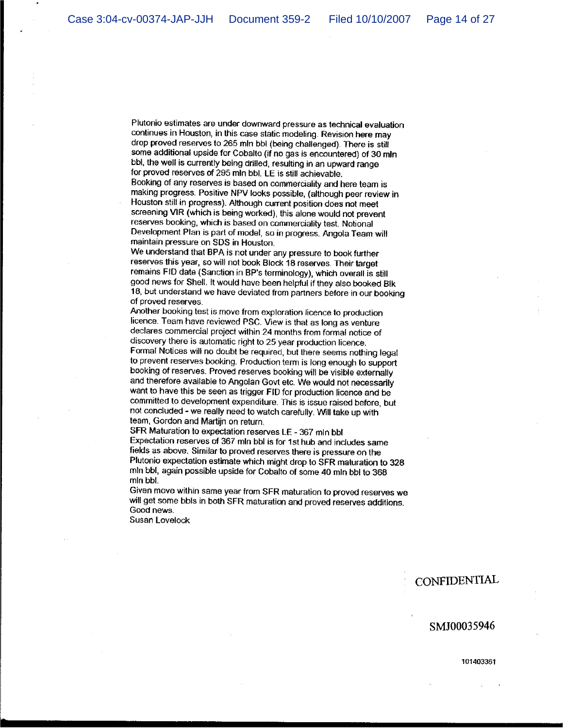Plutonio estimates are under downward pressure as technical evaluation continues in Houston, in this case static modeling. Revision here may drop proved reserves to 265 mln bbl (being challenged). There is still some additional upside for Cobalto (if no gas is encountered) of 30 mln bbl, the well is currently being drilled, resulting in an upward range for proved reserves of 295 mln bbl. LE is still achievable. Booking of any reserves is based on commerciality and here team is making progress. Positive NPV looks possible, (although peer review in Houston still in progress). Although current position does not meet screening VIR (which is being worked), this alone would not prevent reserves booking, which is based on commerciality test. Notional Development Plan is part of model, so in progress. Angola Team will maintain pressure on SDS in Houston.

We understand that BPA is not under any pressure to book further reserves this year, so will not book Block 18 reserves. Their target remains FID date (Sanction in BP's terminology), which overall is still good news for Shell. It would have been helpful if they also booked Bik 18, but understand we have deviated from partners before in our booking of proved reserves.

Another booking test is move from exploration licence to production licence. Team have reviewed PSC. View is that as long as venture declares commercial project within 24 months from formal notice of discovery there is automatic right to 25 year production licence. Formal Notices will no doubt be required, but there seems nothing legal to prevent reserves booking. Production term is long enough to support booking of reserves. Proved reserves booking will be visible externally and therefore available to Angolan Govt etc. We would not necessarily want to have this be seen as trigger FID for production licence and be committed to development expenditure. This is issue raised before, but not concluded - we really need to watch carefully. Will take up with team, Gordon and Martiin on return.

SFR Maturation to expectation reserves LE - 367 mln bbl Expectation reserves of 367 mln bbl is for 1st hub and includes same fields as above. Similar to proved reserves there is pressure on the Plutonio expectation estimate which might drop to SFR maturation to 328 min bbl, again possible upside for Cobalto of some 40 min bbl to 368 min bbl.

Given move within same year from SFR maturation to proved reserves we will get some bbls in both SFR maturation and proved reserves additions. Good news.

Susan Lovelock

## **CONFIDENTIAL**

## SMJ00035946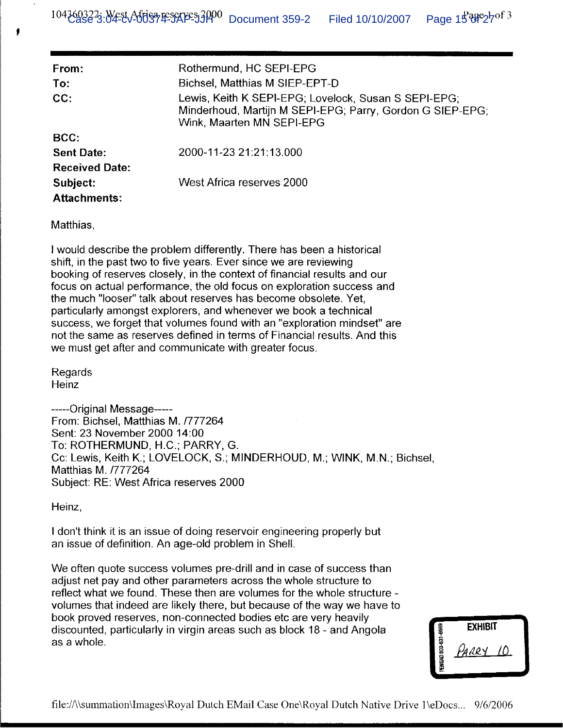| From:<br>To:<br>CC:   | Rothermund, HC SEPI-EPG<br>Bichsel, Matthias M SIEP-EPT-D<br>Lewis, Keith K SEPI-EPG; Lovelock, Susan S SEPI-EPG;<br>Minderhoud, Martijn M SEPI-EPG; Parry, Gordon G SIEP-EPG; |
|-----------------------|--------------------------------------------------------------------------------------------------------------------------------------------------------------------------------|
|                       | Wink, Maarten MN SEPI-EPG                                                                                                                                                      |
| BCC:                  |                                                                                                                                                                                |
| <b>Sent Date:</b>     | 2000-11-23 21:21:13.000                                                                                                                                                        |
| <b>Received Date:</b> |                                                                                                                                                                                |
| Subject:              | West Africa reserves 2000                                                                                                                                                      |
| <b>Attachments:</b>   |                                                                                                                                                                                |

Matthias.

I would describe the problem differently. There has been a historical shift, in the past two to five years. Ever since we are reviewing booking of reserves closely, in the context of financial results and our focus on actual performance, the old focus on exploration success and the much "looser" talk about reserves has become obsolete. Yet, particularly amongst explorers, and whenever we book a technical success, we forget that volumes found with an "exploration mindset" are not the same as reserves defined in terms of Financial results. And this we must get after and communicate with greater focus.

Regards **Heinz** 

-----Original Message-----From: Bichsel. Matthias M. /777264 Sent: 23 November 2000 14:00 To: ROTHERMUND, H.C.; PARRY, G. Cc: Lewis, Keith K.; LOVELOCK, S.; MINDERHOUD, M.; WINK, M.N.; Bichsel, Matthias M. /777264 Subject: RE: West Africa reserves 2000

Heinz,

I don't think it is an issue of doing reservoir engineering properly but an issue of definition. An age-old problem in Shell.

We often quote success volumes pre-drill and in case of success than adjust net pay and other parameters across the whole structure to reflect what we found. These then are volumes for the whole structure volumes that indeed are likely there, but because of the way we have to book proved reserves, non-connected bodies etc are very heavily discounted, particularly in virgin areas such as block 18 - and Angola as a whole.

|                     | <b>EXHIBIT</b> |  |
|---------------------|----------------|--|
| PENGAD 800-631-6989 | WARRY          |  |
|                     |                |  |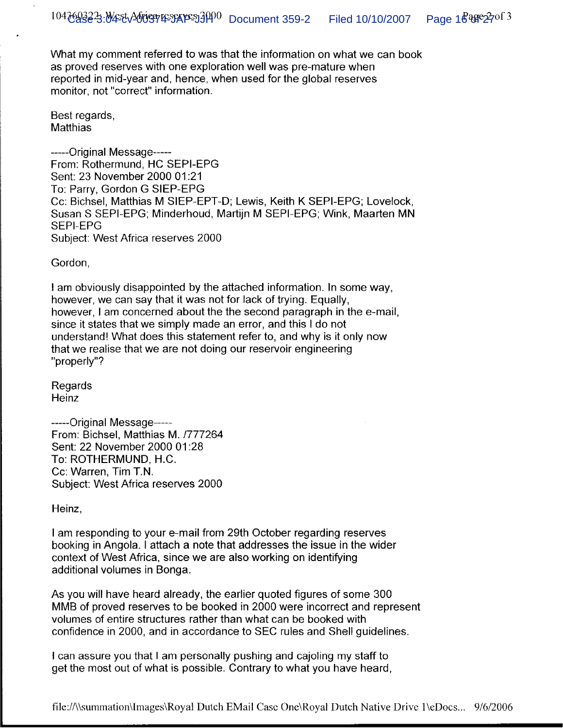What my comment referred to was that the information on what we can book as proved reserves with one exploration well was pre-mature when reported in mid-year and, hence, when used for the global reserves monitor, not "correct" information.

Best regards, **Matthias** 

-----Original Message-----From: Rothermund, HC SEPI-EPG Sent: 23 November 2000 01:21 To: Parry, Gordon G SIEP-EPG Cc: Bichsel, Matthias M SIEP-EPT-D; Lewis, Keith K SEPI-EPG; Lovelock, Susan S SEPI-EPG; Minderhoud, Martijn M SEPI-EPG; Wink, Maarten MN **SEPI-EPG** Subject: West Africa reserves 2000

Gordon,

I am obviously disappointed by the attached information. In some way, however, we can say that it was not for lack of trying. Equally, however, I am concerned about the the second paragraph in the e-mail, since it states that we simply made an error, and this I do not understand! What does this statement refer to, and why is it only now that we realise that we are not doing our reservoir engineering "properly"?

Regards Heinz

-----Original Message-----From: Bichsel, Matthias M. /777264 Sent: 22 November 2000 01:28 To: ROTHERMUND, H.C. Cc: Warren, Tim T.N. Subject: West Africa reserves 2000

Heinz,

I am responding to your e-mail from 29th October regarding reserves booking in Angola. I attach a note that addresses the issue in the wider context of West Africa, since we are also working on identifying additional volumes in Bonga.

As you will have heard already, the earlier quoted figures of some 300 MMB of proved reserves to be booked in 2000 were incorrect and represent volumes of entire structures rather than what can be booked with confidence in 2000, and in accordance to SEC rules and Shell guidelines.

I can assure you that I am personally pushing and cajoling my staff to get the most out of what is possible. Contrary to what you have heard,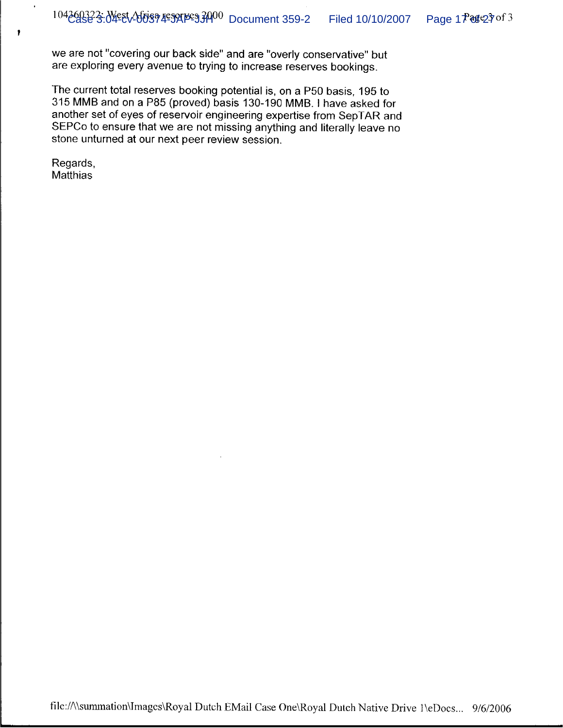we are not "covering our back side" and are "overly conservative" but are exploring every avenue to trying to increase reserves bookings.

The current total reserves booking potential is, on a P50 basis, 195 to 315 MMB and on a P85 (proved) basis 130-190 MMB. I have asked for another set of eyes of reservoir engineering expertise from SepTAR and SEPCo to ensure that we are not missing anything and literally leave no stone unturned at our next peer review session.

Regards, Matthias

 $\bullet$ 

 $\ddot{\phantom{1}}$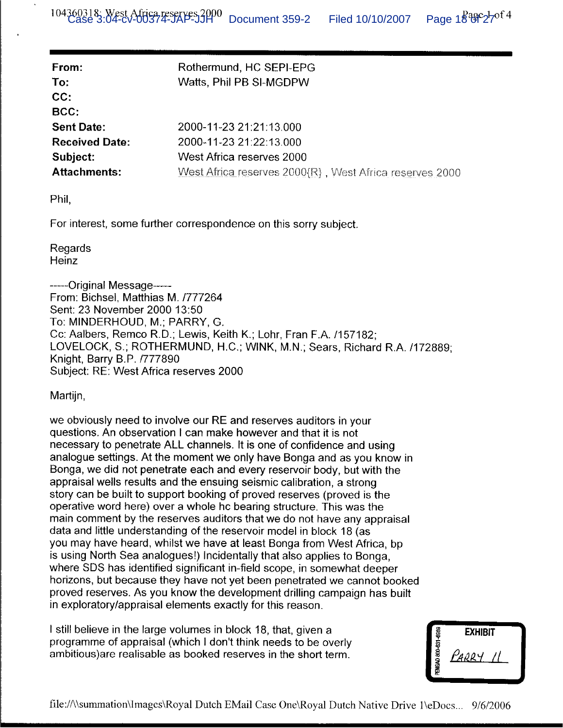| From:                 | Rothermund, HC SEPI-EPG                                    |
|-----------------------|------------------------------------------------------------|
| To:                   | Watts, Phil PB SI-MGDPW                                    |
| CC:                   |                                                            |
| BCC:                  |                                                            |
| <b>Sent Date:</b>     | 2000-11-23 21:21:13.000                                    |
| <b>Received Date:</b> | 2000-11-23 21:22:13.000                                    |
| Subject:              | West Africa reserves 2000                                  |
| <b>Attachments:</b>   | West Africa reserves $2000(R)$ , West Africa reserves 2000 |

Phil.

For interest, some further correspondence on this sorry subject.

Regards Heinz

-----Original Message-From: Bichsel, Matthias M. /777264 Sent: 23 November 2000 13:50 To: MINDERHOUD, M.; PARRY, G. Cc: Aalbers, Remco R.D.; Lewis, Keith K.; Lohr, Fran F.A. /157182; LOVELOCK, S.; ROTHERMUND, H.C.; WINK, M.N.; Sears, Richard R.A. /172889; Knight, Barry B.P. /777890 Subject: RE: West Africa reserves 2000

Martijn.

we obviously need to involve our RE and reserves auditors in your questions. An observation I can make however and that it is not necessary to penetrate ALL channels. It is one of confidence and using analogue settings. At the moment we only have Bonga and as you know in Bonga, we did not penetrate each and every reservoir body, but with the appraisal wells results and the ensuing seismic calibration, a strong story can be built to support booking of proved reserves (proved is the operative word here) over a whole hc bearing structure. This was the main comment by the reserves auditors that we do not have any appraisal data and little understanding of the reservoir model in block 18 (as you may have heard, whilst we have at least Bonga from West Africa, bp is using North Sea analogues!) Incidentally that also applies to Bonga, where SDS has identified significant in-field scope, in somewhat deeper horizons, but because they have not yet been penetrated we cannot booked proved reserves. As you know the development drilling campaign has built in exploratory/appraisal elements exactly for this reason.

I still believe in the large volumes in block 18, that, given a programme of appraisal (which I don't think needs to be overly ambitious) are realisable as booked reserves in the short term.

|                     | <b>EXHIBIT</b> |
|---------------------|----------------|
| PENGAD 800-631-6989 | PARRY          |
|                     |                |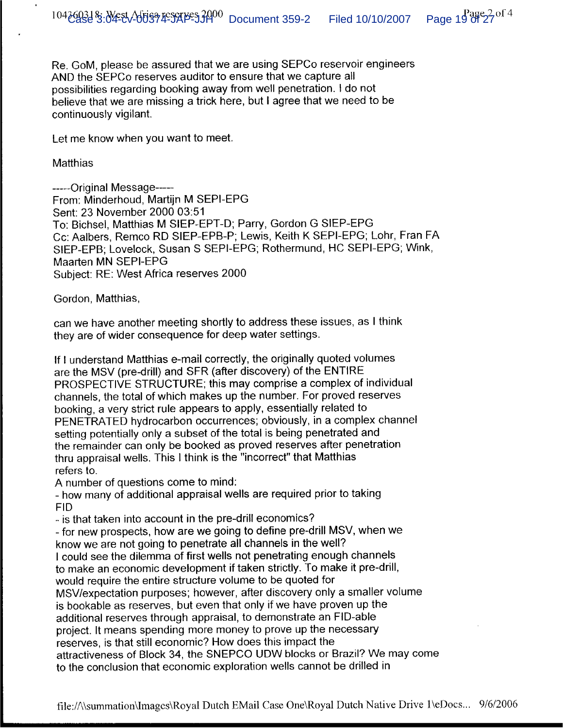Re. GoM, please be assured that we are using SEPCo reservoir engineers AND the SEPCo reserves auditor to ensure that we capture all possibilities regarding booking away from well penetration. I do not believe that we are missing a trick here, but I agree that we need to be continuously vigilant.

Let me know when you want to meet.

## Matthias

-----Original Message-----From: Minderhoud, Martijn M SEPI-EPG Sent: 23 November 2000 03:51 To: Bichsel, Matthias M SIEP-EPT-D; Parry, Gordon G SIEP-EPG Cc: Aalbers, Remco RD SIEP-EPB-P; Lewis, Keith K SEPI-EPG; Lohr, Fran FA SIEP-EPB; Lovelock, Susan S SEPI-EPG; Rothermund, HC SEPI-EPG; Wink, Maarten MN SEPI-EPG Subject: RE: West Africa reserves 2000

Gordon, Matthias,

can we have another meeting shortly to address these issues, as I think they are of wider consequence for deep water settings.

If I understand Matthias e-mail correctly, the originally quoted volumes are the MSV (pre-drill) and SFR (after discovery) of the ENTIRE PROSPECTIVE STRUCTURE; this may comprise a complex of individual channels, the total of which makes up the number. For proved reserves booking, a very strict rule appears to apply, essentially related to PENETRATED hydrocarbon occurrences; obviously, in a complex channel setting potentially only a subset of the total is being penetrated and the remainder can only be booked as proved reserves after penetration thru appraisal wells. This I think is the "incorrect" that Matthias refers to.

A number of questions come to mind:

- how many of additional appraisal wells are required prior to taking **FID** 

- is that taken into account in the pre-drill economics?

- for new prospects, how are we going to define pre-drill MSV, when we know we are not going to penetrate all channels in the well?

I could see the dilemma of first wells not penetrating enough channels to make an economic development if taken strictly. To make it pre-drill,

would require the entire structure volume to be quoted for

MSV/expectation purposes; however, after discovery only a smaller volume is bookable as reserves, but even that only if we have proven up the additional reserves through appraisal, to demonstrate an FID-able project. It means spending more money to prove up the necessary reserves, is that still economic? How does this impact the attractiveness of Block 34, the SNEPCO UDW blocks or Brazil? We may come to the conclusion that economic exploration wells cannot be drilled in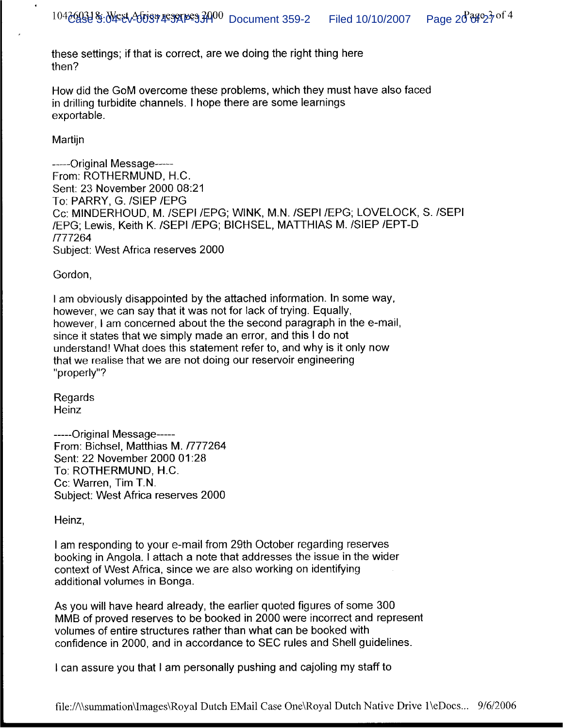these settings; if that is correct, are we doing the right thing here then?

How did the GoM overcome these problems, which they must have also faced in drilling turbidite channels. I hope there are some learnings exportable.

Martijn

 $\bullet$ 

------Original Message------From: ROTHERMUND, H.C. Sent: 23 November 2000 08:21 To: PARRY, G. /SIEP /EPG Cc: MINDERHOUD, M. /SEPI /EPG; WINK, M.N. /SEPI /EPG; LOVELOCK, S. /SEPI /EPG: Lewis, Keith K. /SEPI /EPG: BICHSEL, MATTHIAS M. /SIEP /EPT-D /777264 Subject: West Africa reserves 2000

Gordon,

I am obviously disappointed by the attached information. In some way, however, we can say that it was not for lack of trying. Equally, however, I am concerned about the the second paragraph in the e-mail, since it states that we simply made an error, and this I do not understand! What does this statement refer to, and why is it only now that we realise that we are not doing our reservoir engineering "properly"?

Regards Heinz

-----Original Message-----From: Bichsel, Matthias M. /777264 Sent: 22 November 2000 01:28 To: ROTHERMUND, H.C. Cc: Warren, Tim T.N. Subject: West Africa reserves 2000

Heinz,

I am responding to your e-mail from 29th October regarding reserves booking in Angola. I attach a note that addresses the issue in the wider context of West Africa, since we are also working on identifying additional volumes in Bonga.

As you will have heard already, the earlier quoted figures of some 300 MMB of proved reserves to be booked in 2000 were incorrect and represent volumes of entire structures rather than what can be booked with confidence in 2000, and in accordance to SEC rules and Shell guidelines.

I can assure you that I am personally pushing and cajoling my staff to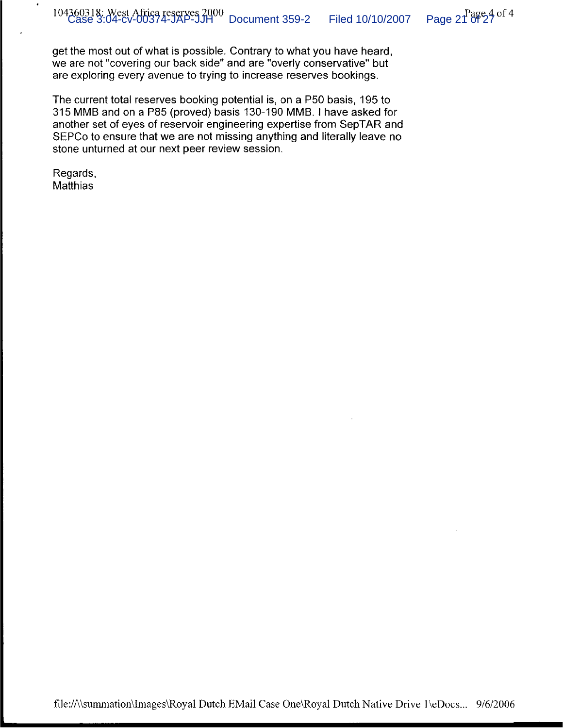get the most out of what is possible. Contrary to what you have heard, we are not "covering our back side" and are "overly conservative" but are exploring every avenue to trying to increase reserves bookings.

The current total reserves booking potential is, on a P50 basis, 195 to 315 MMB and on a P85 (proved) basis 130-190 MMB. I have asked for another set of eyes of reservoir engineering expertise from SepTAR and SEPCo to ensure that we are not missing anything and literally leave no stone unturned at our next peer review session.

Regards, Matthias

 $\bullet$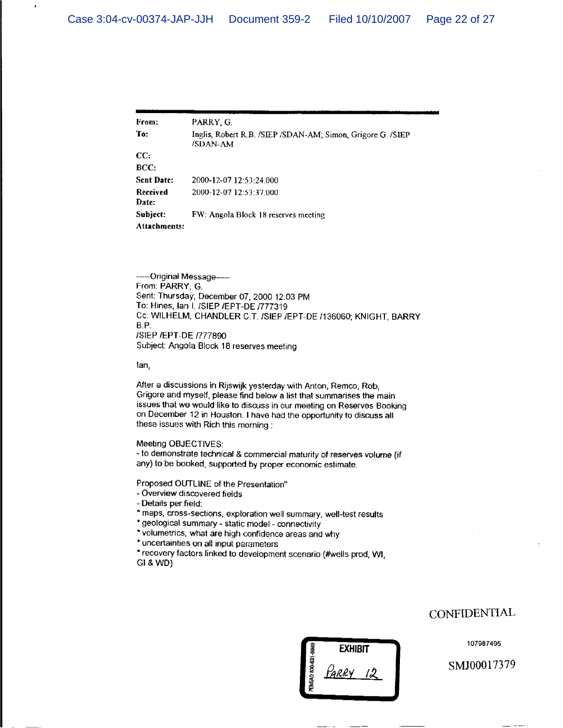| From:                    | PARRY, G.                                                               |
|--------------------------|-------------------------------------------------------------------------|
| To:                      | Inglis, Robert R.B. /SIEP /SDAN-AM; Simon, Grigore G. /SIEP<br>/SDAN-AM |
| CC:                      |                                                                         |
| BCC:                     |                                                                         |
| <b>Sent Date:</b>        | 2000-12-07 12:53:24.000                                                 |
| Received<br>Date:        | 2000-12-07 12:53:37.000                                                 |
| Subject:<br>Attachments: | FW: Angola Block 18 reserves meeting                                    |

----Original Message-From: PARRY, G. Sent: Thursday, December 07, 2000 12:03 PM To: Hines, Ian I. /SIEP /EPT-DE /777319 Cc: WILHELM, CHANDLER C.T. /SIEP /EPT-DE /136060; KNIGHT, BARRY B.P. /SIEP /EPT-DE /777890 Subject: Angola Block 18 reserves meeting

lan,

J

After a discussions in Rijswijk yesterday with Anton, Remco, Rob, Grigore and myself, please find below a list that summarises the main issues that we would like to discuss in our meeting on Reserves Booking on December 12 in Houston. I have had the opportunity to discuss all these issues with Rich this morning.:

#### Meeting OBJECTIVES:

- to demonstrate technical & commercial maturity of reserves volume (if any) to be booked, supported by proper economic estimate.

Proposed OUTLINE of the Presentation"

- Overview discovered fields

- Details per field:
- \* maps, cross-sections, exploration well summary, well-test results
- \* geological summary static model connectivity
- \* volumetrics, what are high confidence areas and why

\* uncertainties on all input parameters

\* recovery factors linked to development scenario (#wells prod, WI, GI & WD)

# **EXHIBIT** Parry

NGAD 800-631-69

## **CONFIDENTIAL**

107987495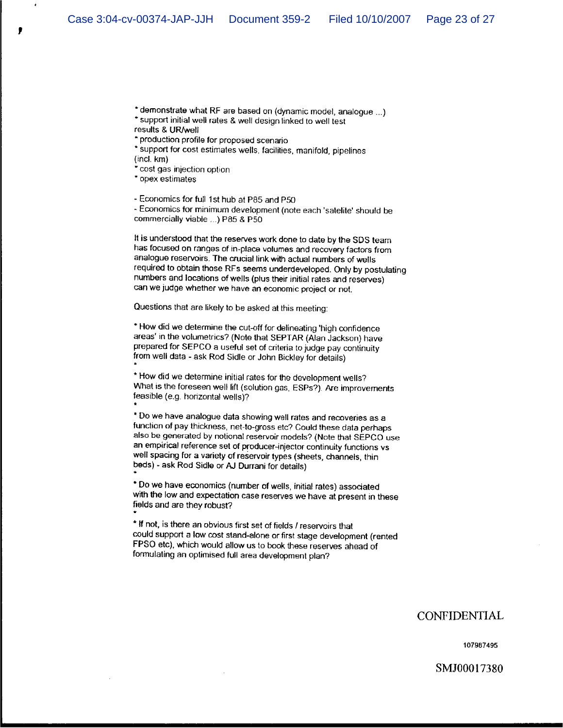\* demonstrate what RF are based on (dynamic model, analogue ...) \* support initial well rates & well design linked to well test results & UR/well

\* production profile for proposed scenario

\* support for cost estimates wells, facilities, manifold, pipelines  $(incl. km)$ 

" cost gas injection option.

\* opex estimates

- Economics for full 1st hub at P85 and P50

- Economics for minimum development (note each 'satelite' should be commercially viable ...) P85 & P50

It is understood that the reserves work done to date by the SDS team has focused on ranges of in-place volumes and recovery factors from analogue reservoirs. The crucial link with actual numbers of wells required to obtain those RFs seems underdeveloped. Only by postulating numbers and locations of wells (plus their initial rates and reserves) can we judge whether we have an economic project or not.

Questions that are likely to be asked at this meeting:

\* How did we determine the cut-off for delineating 'high confidence areas' in the volumetrics? (Note that SEPTAR (Alan Jackson) have prepared for SEPCO a useful set of criteria to judge pay continuity from well data - ask Rod Sidle or John Bickley for details)

\* How did we determine initial rates for the development wells? What is the foreseen well lift (solution gas, ESPs?). Are improvements feasible (e.g. horizontal wells)?

\* Do we have analogue data showing well rates and recoveries as a function of pay thickness, net-to-gross etc? Could these data perhaps also be generated by notional reservoir models? (Note that SEPCO use an empirical reference set of producer-injector continuity functions vs well spacing for a variety of reservoir types (sheets, channels, thin beds) - ask Rod Sidle or AJ Durrani for details)

\* Do we have economics (number of wells, initial rates) associated with the low and expectation case reserves we have at present in these fields and are they robust?

\* If not, is there an obvious first set of fields / reservoirs that could support a low cost stand-alone or first stage development (rented FPSO etc), which would allow us to book these reserves ahead of formulating an optimised full area development plan?

## CONFIDENTIAL

107987495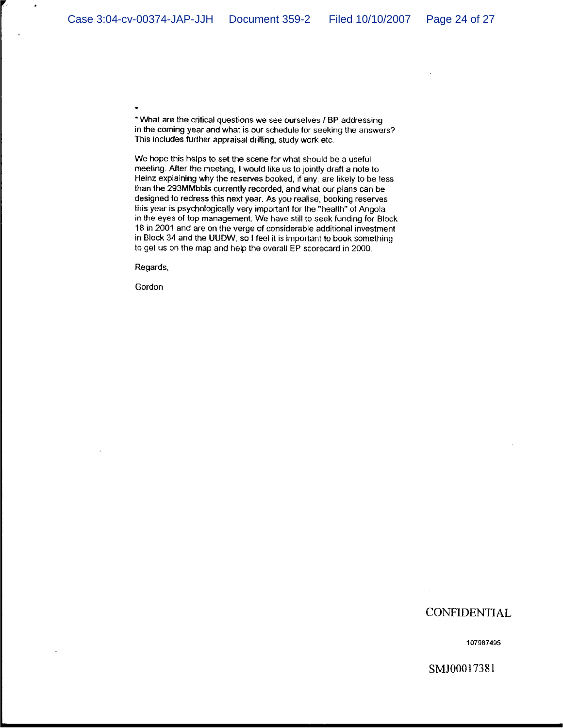\* What are the critical questions we see ourselves / BP addressing in the coming year and what is our schedule for seeking the answers? This includes further appraisal drilling, study work etc.

We hope this helps to set the scene for what should be a useful meeting. After the meeting, I would like us to jointly draft a note to Heinz explaining why the reserves booked, if any, are likely to be less than the 293MMbbls currently recorded, and what our plans can be designed to redress this next year. As you realise, booking reserves this year is psychologically very important for the "health" of Angola in the eyes of top management. We have still to seek funding for Block 18 in 2001 and are on the verge of considerable additional investment in Block 34 and the UUDW, so I feel it is important to book something to get us on the map and help the overall EP scorecard in 2000.

Regards,

Gordon

## **CONFIDENTIAL**

107987495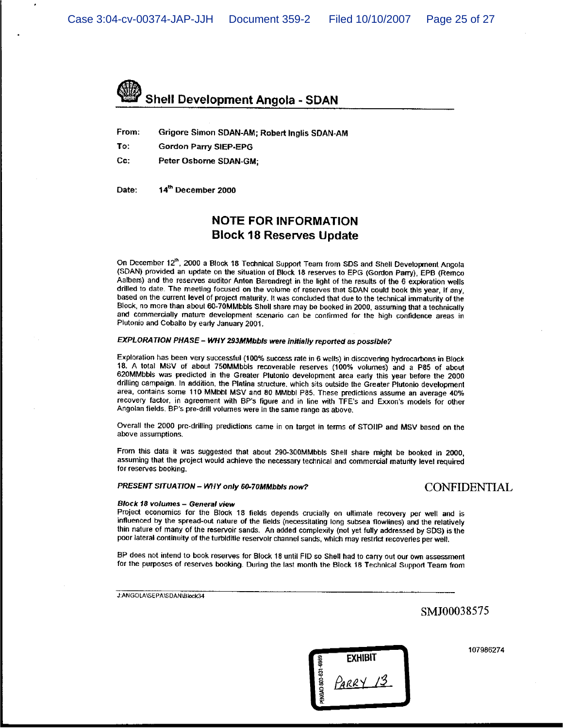

From: Grigore Simon SDAN-AM; Robert Inglis SDAN-AM

- To: **Gordon Parry SIEP-EPG**
- Cc: Peter Osborne SDAN-GM;

14th December 2000 Date:

## **NOTE FOR INFORMATION Block 18 Reserves Update**

On December 12<sup>th</sup>, 2000 a Block 18 Technical Support Team from SDS and Shell Development Angola (SDAN) provided an update on the situation of Block 18 reserves to EPG (Gordon Parry), EPB (Remco Aalbers) and the reserves auditor Anton Barendregt in the light of the results of the 6 exploration wells drilled to date. The meeting focused on the volume of reserves that SDAN could book this year, if any, based on the current level of project maturity. It was concluded that due to the technical immaturity of the Block, no more than about 60-70MMbbls Shell share may be booked in 2000, assuming that a technically and commercially mature development scenario can be confirmed for the high confidence areas in Plutonio and Cobalto by early January 2001.

#### EXPLORATION PHASE - WHY 293MMbbls were initially reported as possible?

Exploration has been very successful (100% success rate in 6 wells) in discovering hydrocarbons in Block 18. A total MSV of about 750MMbbls recoverable reserves (100% volumes) and a P85 of about 620MMbbls was predicted in the Greater Plutonio development area early this year before the 2000 drilling campaign. In addition, the Platina structure, which sits outside the Greater Plutonio development area, contains some 110 MMbbl MSV and 80 MMbbl P85. These predictions assume an average 40% recovery factor, in agreement with BP's figure and in line with TFE's and Exxon's models for other Angolan fields. BP's pre-drill volumes were in the same range as above.

Overall the 2000 pre-drilling predictions came in on target in terms of STOHP and MSV based on the above assumptions.

From this data it was suggested that about 290-300MMbbls Shell share might be booked in 2000, assuming that the project would achieve the necessary technical and commercial maturity level required for reserves booking.

#### PRESENT SITUATION - WHY only 60-70MMbbls now?

### **CONFIDENTIAL**

#### Block 18 volumes - General view

Project economics for the Block 18 fields depends crucially on ultimate recovery per well and is influenced by the spread-out nature of the fields (necessitating long subsea flowlines) and the relatively thin nature of many of the reservoir sands. An added complexity (not yet fully addressed by SDS) is the poor lateral continuity of the turbiditie reservoir channel sands, which may restrict recoveries per well.

BP does not intend to book reserves for Block 18 until FID so Shell had to carry out our own assessment for the purposes of reserves booking. During the last month the Block 18 Technical Support Team from

J:ANGOLA\SEPA\SDAN\Block34

## SMJ00038575

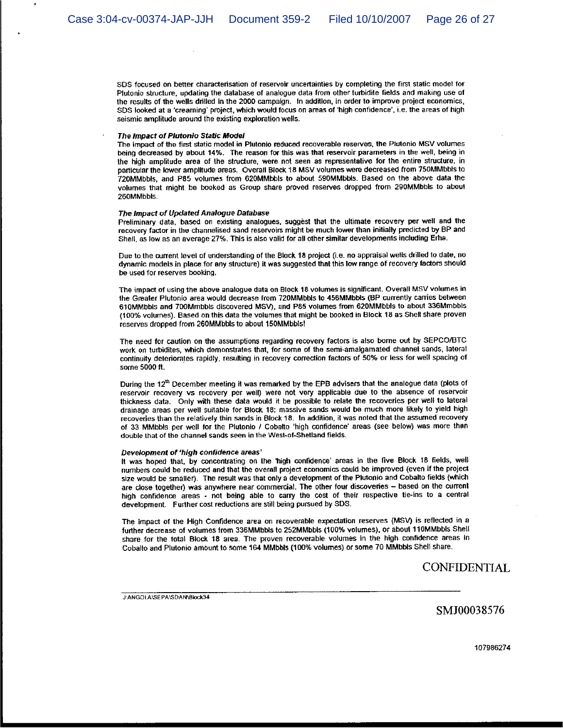SDS focused on better characterisation of reservoir uncertainties by completing the first static model for Plutonio structure, updating the database of analogue data from other turbidite fields and making use of the results of the wells drilled in the 2000 campaign. In addition, in order to improve project economics, SDS looked at a 'creaming' project, which would focus on areas of 'high confidence', i.e. the areas of high seismic amplitude around the existing exploration wells.

#### The Impact of Plutonio Static Model

The impact of the first static model in Plutonio reduced recoverable reserves, the Plutonio MSV volumes being decreased by about 14%. The reason for this was that reservoir parameters in the well, being in the high amplitude area of the structure, were not seen as representative for the entire structure, in particular the lower amplitude areas. Overall Block 18 MSV volumes were decreased from 750MMbbls to 720MMbbls, and P85 volumes from 620MMbbls to about 590MMbbls. Based on the above data the yolumes that might be booked as Group share proved reserves dropped from 290MMbbls to about 260MMbbls.

#### The Impact of Updated Analogue Database

Preliminary data, based on existing analogues, suggest that the ultimate recovery per well and the recovery factor in the channelised sand reservoirs might be much lower than initially predicted by BP and Shell, as low as an average 27%. This is also valid for all other similar developments including Erha.

Due to the current level of understanding of the Block 18 project (i.e. no appraisal wells drilled to date, no dynamic models in place for any structure) it was suggested that this low range of recovery factors should be used for reserves booking.

The impact of using the above analogue data on Block 18 volumes is significant. Overall MSV volumes in the Greater Plutonio area would decrease from 720MMbbls to 456MMbbls (BP currently carries between 610MMbbls and 700Mmbbls discovered MSV), and P85 volumes from 620MMbbls to about 336Mmbbls (100% volumes). Based on this data the volumes that might be booked in Block 18 as Shell share proven reserves dropped from 260MMbbls to about 150MMbbls!

The need for caution on the assumptions regarding recovery factors is also borne out by SEPCO/BTC work on turbidites, which demonstrates that, for some of the semi-amalgamated channel sands, lateral continuity deteriorates rapidly, resulting in recovery correction factors of 50% or less for well spacing of some 5000 ft.

During the 12<sup>th</sup> December meeting it was remarked by the EPB advisers that the analogue data (plots of reservoir recovery vs recovery per well) were not very applicable due to the absence of reservoir thickness data. Only with these data would it be possible to relate the recoveries per well to lateral drainage areas per well suitable for Block 18; massive sands would be much more likely to yield high recoveries than the relatively thin sands in Block 18. In addition, it was noted that the assumed recovery of 33 MMbbls per well for the Plutonio / Cobalto 'high confidence' areas (see below) was more than double that of the channel sands seen in the West-of-Shetland fields.

#### Development of 'high confidence areas'

It was hoped that, by concentrating on the 'high confidence' areas in the five Block 18 fields, well numbers could be reduced and that the overall project economics could be improved (even if the project size would be smaller). The result was that only a development of the Plutonio and Cobalto fields (which are close together) was anywhere near commercial. The other four discoveries  $-$  based on the current high confidence areas - not being able to carry the cost of their respective tie-ins to a central development. Further cost reductions are still being pursued by SDS.

The impact of the High Confidence area on recoverable expectation reserves (MSV) is reflected in a further decrease of volumes from 336MMbbls to 252MMbbls (100% volumes), or about 110MMbbls Shell share for the total Block 18 area. The proven recoverable volumes in the high confidence areas in Cobalto and Plutonio amount to some 164 MMbbls (100% volumes) or some 70 MMbbls Shell share.

**CONFIDENTIAL** 

J:ANGOLA\SEPA\SDAN\Block34